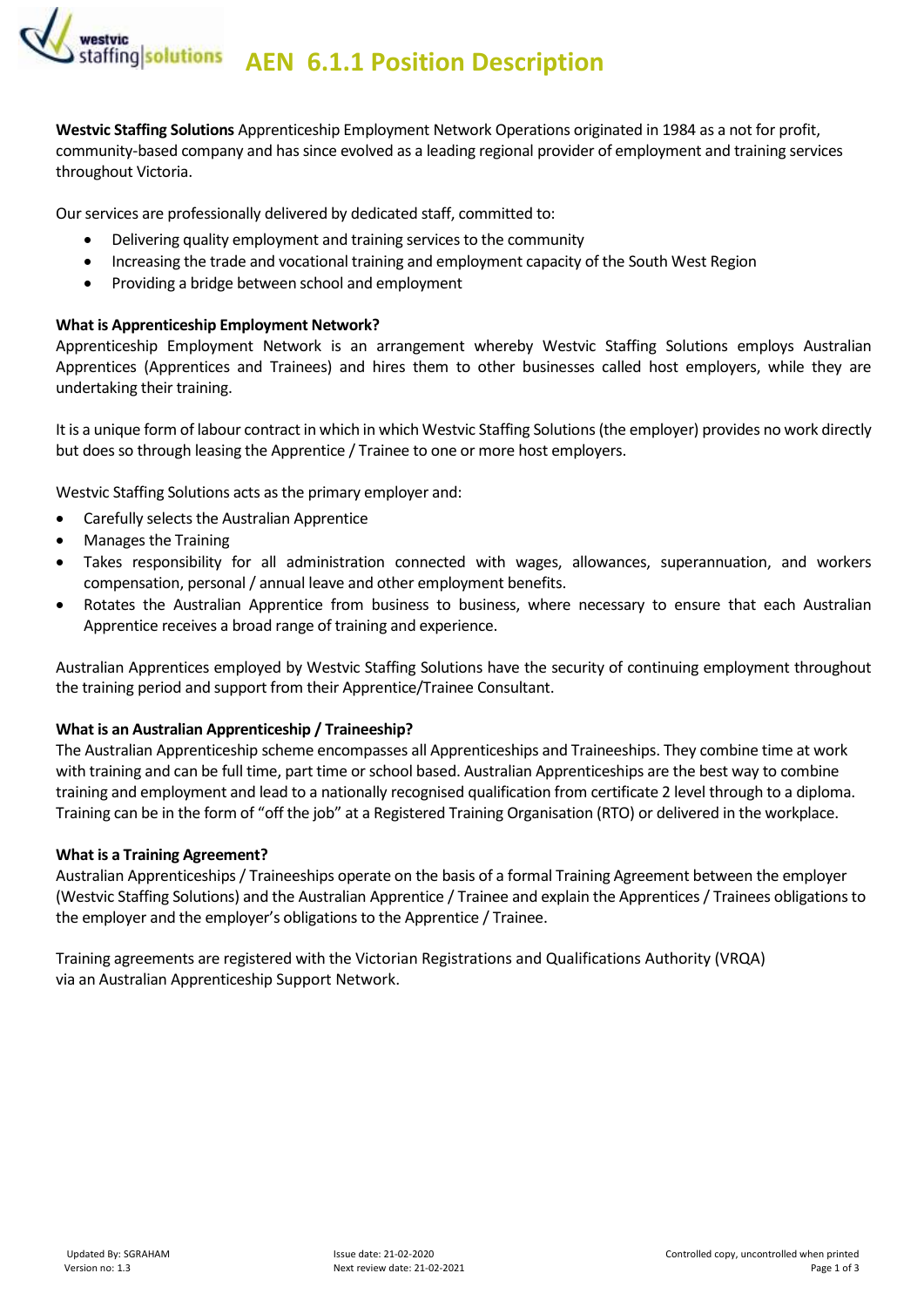**AEN 6.1.1 Position Description** *AEN* 6.1.1 Position Description

**Westvic Staffing Solutions** Apprenticeship Employment Network Operations originated in 1984 as a not for profit, community-based company and has since evolved as a leading regional provider of employment and training services throughout Victoria.

Our services are professionally delivered by dedicated staff, committed to:

- Delivering quality employment and training services to the community
- Increasing the trade and vocational training and employment capacity of the South West Region
- Providing a bridge between school and employment

#### **What is Apprenticeship Employment Network?**

Apprenticeship Employment Network is an arrangement whereby Westvic Staffing Solutions employs Australian Apprentices (Apprentices and Trainees) and hires them to other businesses called host employers, while they are undertaking their training.

It is a unique form of labour contract in which in which Westvic Staffing Solutions (the employer) provides no work directly but does so through leasing the Apprentice / Trainee to one or more host employers.

Westvic Staffing Solutions acts as the primary employer and:

- Carefully selects the Australian Apprentice
- Manages the Training
- Takes responsibility for all administration connected with wages, allowances, superannuation, and workers compensation, personal / annual leave and other employment benefits.
- Rotates the Australian Apprentice from business to business, where necessary to ensure that each Australian Apprentice receives a broad range of training and experience.

Australian Apprentices employed by Westvic Staffing Solutions have the security of continuing employment throughout the training period and support from their Apprentice/Trainee Consultant.

#### **What is an Australian Apprenticeship / Traineeship?**

The Australian Apprenticeship scheme encompasses all Apprenticeships and Traineeships. They combine time at work with training and can be full time, part time or school based. Australian Apprenticeships are the best way to combine training and employment and lead to a nationally recognised qualification from certificate 2 level through to a diploma. Training can be in the form of "off the job" at a Registered Training Organisation (RTO) or delivered in the workplace.

#### **What is a Training Agreement?**

Australian Apprenticeships / Traineeships operate on the basis of a formal Training Agreement between the employer (Westvic Staffing Solutions) and the Australian Apprentice / Trainee and explain the Apprentices / Trainees obligations to the employer and the employer's obligations to the Apprentice / Trainee.

Training agreements are registered with the Victorian Registrations and Qualifications Authority (VRQA) via an Australian Apprenticeship Support Network.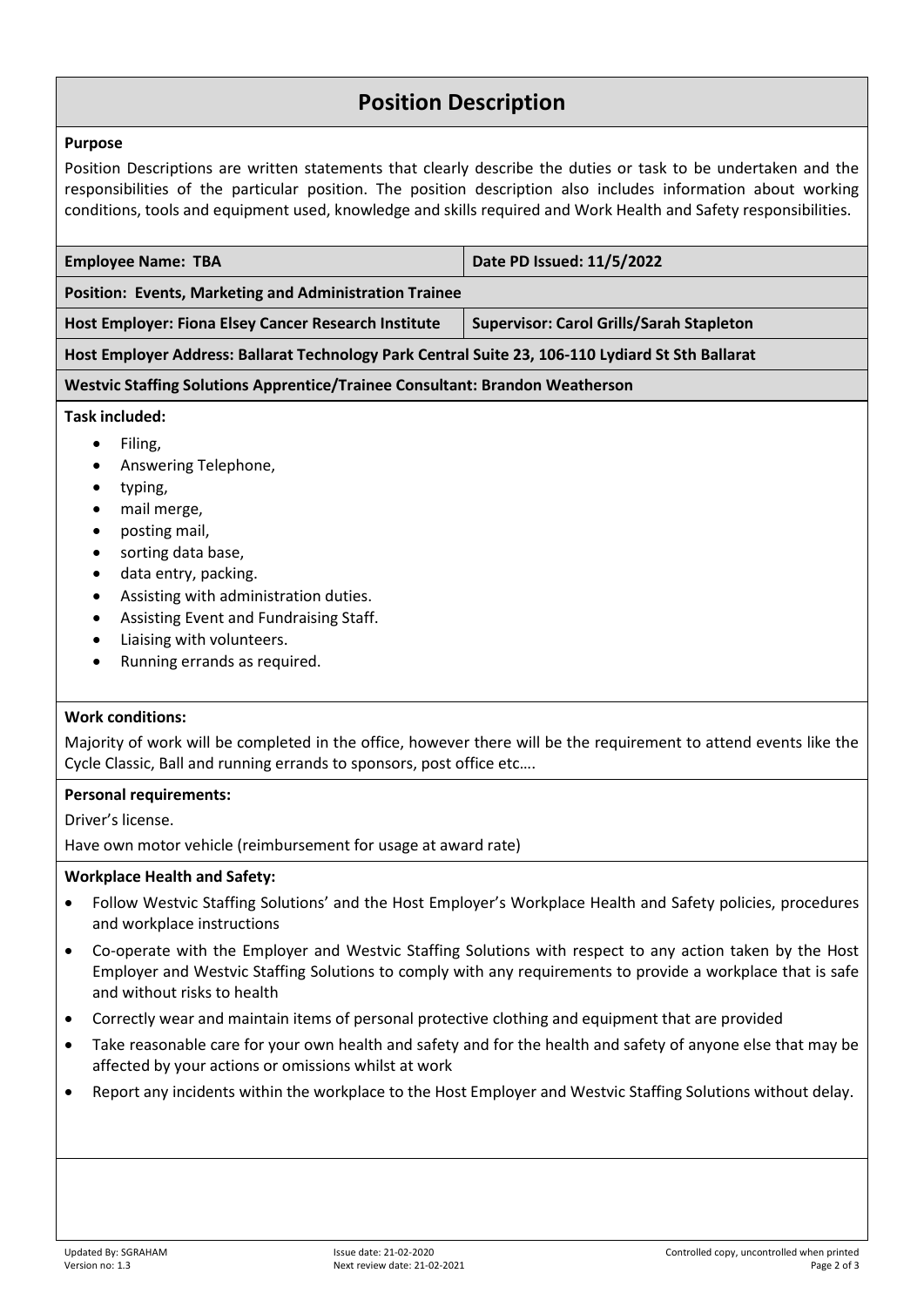## **Position Description**

#### **Purpose**

Position Descriptions are written statements that clearly describe the duties or task to be undertaken and the responsibilities of the particular position. The position description also includes information about working conditions, tools and equipment used, knowledge and skills required and Work Health and Safety responsibilities.

| <b>Employee Name: TBA</b>                                                                                                                                                           | Date PD Issued: 11/5/2022                       |  |  |  |
|-------------------------------------------------------------------------------------------------------------------------------------------------------------------------------------|-------------------------------------------------|--|--|--|
| <b>Position: Events, Marketing and Administration Trainee</b>                                                                                                                       |                                                 |  |  |  |
| <b>Host Employer: Fiona Elsey Cancer Research Institute</b>                                                                                                                         | <b>Supervisor: Carol Grills/Sarah Stapleton</b> |  |  |  |
| Host Employer Address: Ballarat Technology Park Central Suite 23, 106-110 Lydiard St Sth Ballarat                                                                                   |                                                 |  |  |  |
| <b>Westvic Staffing Solutions Apprentice/Trainee Consultant: Brandon Weatherson</b>                                                                                                 |                                                 |  |  |  |
| Task included:                                                                                                                                                                      |                                                 |  |  |  |
| Filing,<br>٠<br>Answering Telephone,<br>$\bullet$<br>typing,<br>mail merge,<br>posting mail,<br>sorting data base,<br>data entry, packing.<br>Assisting with administration duties. |                                                 |  |  |  |

- Assisting Event and Fundraising Staff.
- Liaising with volunteers.
- Running errands as required.

#### **Work conditions:**

Majority of work will be completed in the office, however there will be the requirement to attend events like the Cycle Classic, Ball and running errands to sponsors, post office etc….

#### **Personal requirements:**

Driver's license.

Have own motor vehicle (reimbursement for usage at award rate)

#### **Workplace Health and Safety:**

- Follow Westvic Staffing Solutions' and the Host Employer's Workplace Health and Safety policies, procedures and workplace instructions
- Co-operate with the Employer and Westvic Staffing Solutions with respect to any action taken by the Host Employer and Westvic Staffing Solutions to comply with any requirements to provide a workplace that is safe and without risks to health
- Correctly wear and maintain items of personal protective clothing and equipment that are provided
- Take reasonable care for your own health and safety and for the health and safety of anyone else that may be affected by your actions or omissions whilst at work
- Report any incidents within the workplace to the Host Employer and Westvic Staffing Solutions without delay.